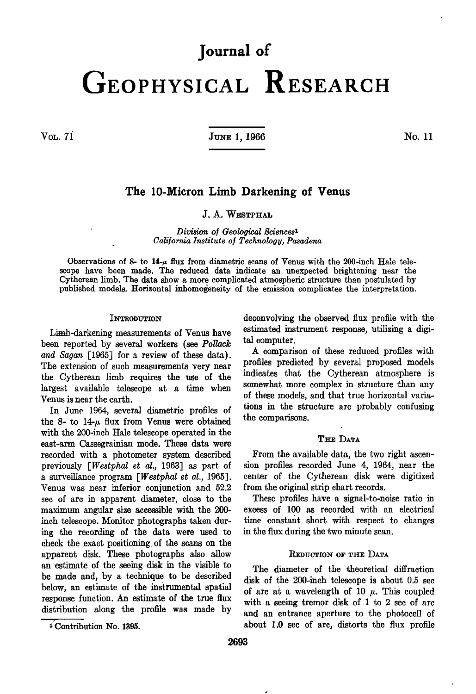# **Journal of GEOPHYSICAL RESEARCH**

**VOL. 71' 966 No. 11** 

# **The 10-Micron Limb Darkening of Venus**

## **J. A. WESTPHAL**

**Division oI Geological \$ciences\* California Institute of Technology, Pasadena** 

Observations of 8- to  $14-\mu$  flux from diametric scans of Venus with the 200-inch Hale tele**scope have been made. The reduced data indicate an unexpected brightening near the Cytherean limb. The data show a more complicated atmospheric structure than postulated by published models. Horizontal inhomogeneity of the emission complicates the interpretation.** 

#### **INTRODUTION**

**Limb-darkening measurements of Venus have been reported by several workers (see Pollack and Sagan [1965] for a review of these data). The extension of such measurements very near the Cytherean limb requires the use of the largest available telescope at a time when Venus is near the earth.** 

**In June 1964, several diametric profiles of**  the 8- to  $14-\mu$  flux from Venus were obtained **with the 200-inch Hale telescope operated in the east-arm Cassegrainian mode. These data were recorded with a photometer system described previously [Westphal et al., 1963] as part of a surveillance program [Westphal et al., 1965]. Venus was near inferior conjunction and 52.2 sec of arc in apparent diameter, close to the maximum angular size accessible with the 200 inch telescope. Monitor photographs taken during the recording of the data were used to check the exact positioning of the scans on the apparent disk. These photographs also allow an estimate of the seeing disk in the visible to be made and, by a technique to be described below, an estimate of the instrumental spatial response function. An estimate of the true flux distribution along the profile was made by**  **deconvolving the observed flux profile with the estimated instrument response, utilizing a digital computer.** 

**A comparison of these reduced profiles with profiles predicted by several proposed models indicates that the Cytherean atmosphere is somewhat more complex in structure than any of these models, and that true horizontal variations in the structure are probably confusing the comparisons.** 

## **THE DATA**

**From the available data, the two right ascension profiles recorded June 4, 1964, near the center of the Cytherean disk were digitized from the original strip chart records.** 

**These profiles have a signal-to-noise ratio in excess of 100 as recorded with an electrical time constant short with respect to changes in the flux during the two minute scan.** 

#### **REDUCTION OF THE DATA**

**The diameter of the theoretical diffraction disk of the 200-inch telescope is about 0.5 sec**  of arc at a wavelength of  $10 \mu$ . This coupled **with a seeing tremor disk of 1 to 2 sec of arc and an entrance aperture to the photocell of about 1.0 sec of arc, distorts the flux'profile** 

<sup>&</sup>lt;sup>1</sup> Contribution No. 1395.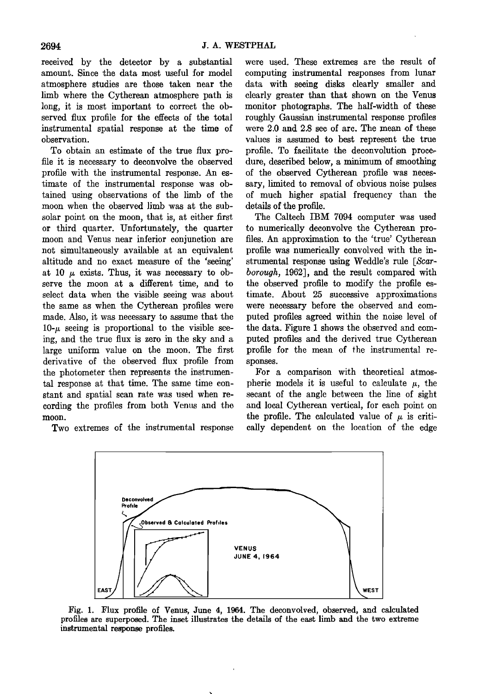received by the detector by a substantial were used. These extremes are the result of amount. Since the data most useful for model computing instrumental responses from lunar amount. Since the data most useful for model atmosphere studies are those taken near the limb where the Cytherean atmosphere path is long, it is most important to correct the ob-<br>served flux profile for the effects of the total<br>roughly Gaussian instrumental response profiles **served flux profile for the effects of the total roughly Gaussian instrumental response profiles**  instrumental spatial response at the time of were 2.0 and 2.8 sec of arc. The mean of these observation.

To obtain an estimate of the true flux pro-<br>file it is necessary to deconvolve the observed dure, described below, a minimum of smoothing file it is necessary to deconvolve the observed dure, described below, a minimum of smoothing profile with the instrumental response. An es- of the observed Cytherean profile was necesprofile with the instrumental response. An es- of the observed Cytherean profile was necestimate of the instrumental response was ob- sary, limited to removal of obvious noise pulses **timate of the instrumental response was ob- sary, limited to removal of obvious noise pulses**  moon when the observed limb was at the sub-<br>solar point on the moon, that is, at either first<br>The Caltech IBM 7094 computer was used solar point on the moon, that is, at either first The Caltech IBM 7094 computer was used or third quarter. Unfortunately, the quarter to numerically deconvolve the Cytherean proor third quarter. Unfortunately, the quarter to numerically deconvolve the Cytherean pro-<br>moon and Venus near inferior conjunction are files. An approximation to the 'true' Cytherean **moon and Venus near inferior conjunction are files. An approximation to the 'true' Cytherean**  not simultaneously available at an equivalent altitude and no exact measure of the 'seeing' altitude and no exact measure of the 'seeing' strumental response using Weddle's rule [Scar-<br>at 10  $\mu$  exists. Thus, it was necessary to ob-<br>borough, 1962], and the result compared with serve the moon at a different time, and to select data when the visible seeing was about the same as when the Cytherean profiles were were necessary before the observed and com-<br>made. Also, it was necessary to assume that the puted profiles agreed within the noise level of made. Also, it was necessary to assume that the  $10-\mu$  seeing is proportional to the visible see**ing, and the true flux is zero in the sky and a puted profiles and the derived true Cytherean**  large uniform value on the moon. The first profile iderivative of the observed flux profile from sponses. derivative of the observed flux profile from the photometer then represents the instrumen-<br> **Example 18** a comparison with theoretical atmos-<br> **tal response at that time.** The same time con-<br>
pheric models it is useful to calculate  $\mu$ , the tal response at that time. The same time con-<br>stant and spatial scan rate was used when recording the profiles from both Venus and the **moon.** the profile. The calculated value of  $\mu$  is criti-

data with seeing disks clearly smaller and clearly greater than that shown on the Venus **observation.** values is assumed to best represent the true<br>To obtain an estimate of the true flux pro- profile. To facilitate the deconvolution proceof much higher spatial frequency than the details of the profile.

> borough, 1962], and the result compared with the observed profile to modify the profile estimate. About 25 successive approximations were necessary before the observed and comthe data. Figure 1 shows the observed and com-<br>puted profiles and the derived true Cytherean

secant of the angle between the line of sight<br>and local Cytherean vertical, for each point on **Two extremes of the instrumental response eally dependent on the location of the edge** 



**Fig. 1. Flux profile of Venus, June 4, 1964. The deconvolved, observed, and calculated profiles are superposed. The inset illustrates the details of the east limb and the two extreme instrumental response profiles.**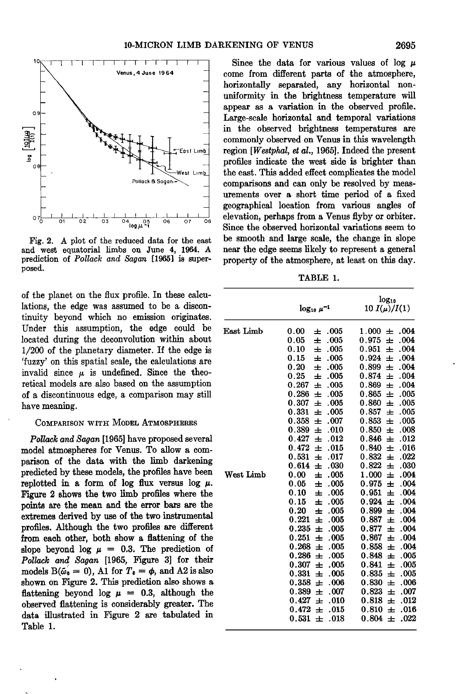

and west equatorial limbs on June 4, 1964. A prediction of *Pollack and Sagan* [1965] is super**posed.** 

**of the planet on the flux profile. In these calculations, the edge was assumed to be a discontinuity beyond which no emission originates.**  Under this assumption, the edge could be **located during the deconvolution within about 1/200 of the planetary diameter. If the edge is 'fuzzy' on this spatial scale, the calculations are**  invalid since  $\mu$  is undefined. Since the theo**retical models are also based on the assumption of a discontinuous edge, a comparison may still have meaning.** 

### **COMPARISON WITH MODEL ATMOSPHERES**

**Pollack and Sagan [1965] have proposed several model atmospheres for Venus. To allow a comparison of the data with the limb darkening**  predicted by these models, the profiles have been replotted in a form of  $\log$  flux versus  $\log \mu$ . **Figure 2 shows the two limb profiles where the points are the mean and the error bars are the extremes derived by use of the two instrumental profiles. Although the two profiles are different from each other, both show a flattening of the**  slope beyond  $\log \mu = 0.3$ . The prediction of **Pollack and Sagan [1965, Figure 3] for their**  models  $B(\tilde{\omega}_0 = 0)$ , A1 for  $T_0 = \phi$ , and A2 is also **shown on Figure 2. This prediction also shows a flattening** beyond log  $\mu = 0.3$ , although the **observed flattening is considerably greater. The data illustrated in Figure 2 are tabulated in Table 1.** 

**'ø•1 I I I I I I I . •-'] , I I I Since the data for various values of log tz - come from different parts of the atmosphere, - - horizontally separated, any horizontal non- - uniformity in the brightness temperature will appear as a variation in the observed profile.**  Large-scale horizontal and temporal variations in the observed brightness temperatures are **• \_ in the observed brightness temperatures are commonly observed on Venus in this wavelength est Limb est Limb ext condicate** the **east.** This added effect complicates the model **•\_ - ß '-•we•, •im•\_ the east. This addedffect complicates the model**  comparisons and can only be resolved by meas**urements over a short time period of a fixed geographical location from various angles of**   $\frac{1}{\log_{10} 25}$   $\frac{1}{\log_{10} 25}$  or  $\frac{1}{\log_{10} 27}$  or  $\frac{1}{\log_{10} 27}$  or  $\frac{1}{\log_{10} 27}$  or  $\frac{1}{\log_{10} 27}$   $\frac{1}{\log_{10} 27}$   $\frac{1}{\log_{10} 27}$   $\frac{1}{\log_{10} 27}$   $\frac{1}{\log_{10} 27}$   $\frac{1}{\log_{10} 27}$   $\frac{1}{\log_{10$ Since the observed horizontal variations seem to **Fig. 2. A plot of the reduced data for the east be smooth and large scale, the change in slope**  property of the atmosphere, at least on this day.

**TABLE 1.** 

|           | $\log_{10} \mu^{-1}$                                                                                                                                                                                                                                                                                                                                                              | $log_{10}$<br>10 $I(\mu)/I(1)$                                                                                                                                                                                                                                                                                                                                                     |
|-----------|-----------------------------------------------------------------------------------------------------------------------------------------------------------------------------------------------------------------------------------------------------------------------------------------------------------------------------------------------------------------------------------|------------------------------------------------------------------------------------------------------------------------------------------------------------------------------------------------------------------------------------------------------------------------------------------------------------------------------------------------------------------------------------|
| East Limb | 0.00<br>.005<br>士<br>0.05<br>士<br>.005<br>0.10<br>士<br>.005<br>0.15<br>.005<br>士<br>0.20<br>.005<br>士<br>0.25<br>.005<br>ᆂ<br>0.267<br>.005<br>王<br>0.286<br>.005<br>士<br>0.307<br>王<br>.005<br>0.331<br>.005<br>王<br>0.358<br>.007<br>ᆂ<br>0.389<br>.010<br>士<br>0.427<br>.012<br>士<br>0.472<br>.015<br>ᆂ                                                                        | 1.000<br>.004<br>士<br>.004<br>0.975<br>王<br>0.951<br>.004<br>王<br>.004<br>0.924<br>王<br>0.899<br>.004<br>王<br>0.874<br>.004<br>士<br>0.869<br>.004<br>王<br>0.865<br>.005<br>士<br>0.860<br>.005<br>王<br>0.857<br>.005<br>王<br>.005<br>0.853<br>士<br>0.850<br>.008<br>士<br>.012<br>0.846<br>ᆂ<br>0.840<br>.016<br>士                                                                   |
| West Limb | 0.531<br>.017<br>士<br>0.614<br>.030<br>士<br>0.00<br>.005<br>士<br>$0.05\,$<br>.005<br>士<br>0.10<br>.005<br>ᆂ<br>0.15<br>.005<br>ᆂ<br>0.20<br>.005<br>王<br>0.221<br>士<br>.005<br>0.235<br>王<br>.005<br>0.251<br>王<br>.005<br>0.268<br>王<br>.005<br>0.286<br>.005<br>Ŧ<br>0.307<br>.005<br>士<br>0.331<br>.005<br>士<br>0.358<br>.006<br>王<br>0.389<br>.007<br>士<br>0.427<br>.010<br>王 | 0.832<br>.022<br>ᆂ<br>0.822<br>.030<br>ᆂ<br>1.000<br>.004<br>王<br>0.975<br>.004<br>士<br>.004<br>0.951<br>王<br>0.924<br>.004<br>士<br>.004<br>0.899<br>王<br>0.887<br>.004<br>士<br>0.877<br>.004<br>王<br>0.867<br>.004<br>士<br>0.858<br>.004<br>ᆂ<br>0.848<br>.005<br>王<br>0.841<br>王<br>.005<br>0.835<br>.005<br>ᆂ<br>0.830<br>.006<br>王<br>0.823<br>.007<br>ᆂ<br>0.818<br>.012<br>ᆂ |